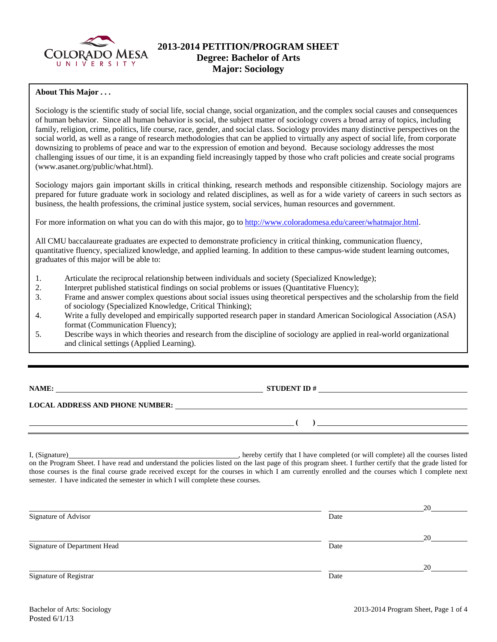

## **2013-2014 PETITION/PROGRAM SHEET Degree: Bachelor of Arts Major: Sociology**

#### **About This Major . . .**

Sociology is the scientific study of social life, social change, social organization, and the complex social causes and consequences of human behavior. Since all human behavior is social, the subject matter of sociology covers a broad array of topics, including family, religion, crime, politics, life course, race, gender, and social class. Sociology provides many distinctive perspectives on the social world, as well as a range of research methodologies that can be applied to virtually any aspect of social life, from corporate downsizing to problems of peace and war to the expression of emotion and beyond. Because sociology addresses the most challenging issues of our time, it is an expanding field increasingly tapped by those who craft policies and create social programs (www.asanet.org/public/what.html).

Sociology majors gain important skills in critical thinking, research methods and responsible citizenship. Sociology majors are prepared for future graduate work in sociology and related disciplines, as well as for a wide variety of careers in such sectors as business, the health professions, the criminal justice system, social services, human resources and government.

For more information on what you can do with this major, go to http://www.coloradomesa.edu/career/whatmajor.html.

All CMU baccalaureate graduates are expected to demonstrate proficiency in critical thinking, communication fluency, quantitative fluency, specialized knowledge, and applied learning. In addition to these campus-wide student learning outcomes, graduates of this major will be able to:

- 1. Articulate the reciprocal relationship between individuals and society (Specialized Knowledge);
- 2. Interpret published statistical findings on social problems or issues (Quantitative Fluency);
- 3. Frame and answer complex questions about social issues using theoretical perspectives and the scholarship from the field of sociology (Specialized Knowledge, Critical Thinking);
- 4. Write a fully developed and empirically supported research paper in standard American Sociological Association (ASA) format (Communication Fluency);
- 5. Describe ways in which theories and research from the discipline of sociology are applied in real-world organizational and clinical settings (Applied Learning).

**NAME: STUDENT ID #** 

### **LOCAL ADDRESS AND PHONE NUMBER:**

I, (Signature) , hereby certify that I have completed (or will complete) all the courses listed on the Program Sheet. I have read and understand the policies listed on the last page of this program sheet. I further certify that the grade listed for those courses is the final course grade received except for the courses in which I am currently enrolled and the courses which I complete next semester. I have indicated the semester in which I will complete these courses.

|                              |      | 20 |
|------------------------------|------|----|
| Signature of Advisor         | Date |    |
|                              |      |    |
| Signature of Department Head | Date | 20 |
|                              |      | 20 |
| Signature of Registrar       | Date |    |

 **( )**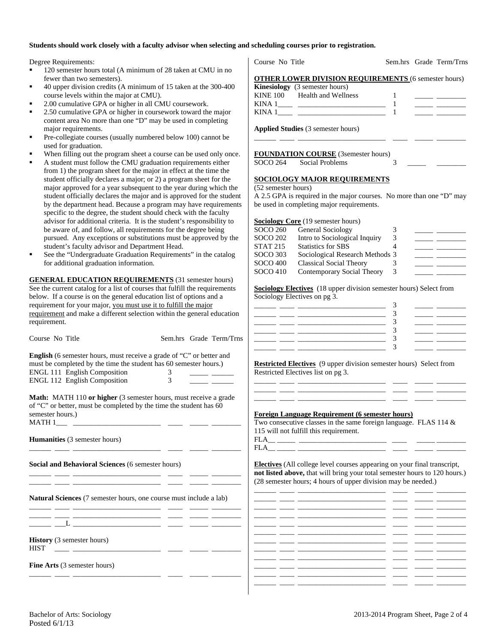#### **Students should work closely with a faculty advisor when selecting and scheduling courses prior to registration.**

Degree Requirements:

- <sup>120</sup> semester hours total (A minimum of 28 taken at CMU in no fewer than two semesters).
- 40 upper division credits (A minimum of 15 taken at the 300-400 course levels within the major at CMU).
- 2.00 cumulative GPA or higher in all CMU coursework.
- 2.50 cumulative GPA or higher in coursework toward the major content area No more than one "D" may be used in completing major requirements.
- Pre-collegiate courses (usually numbered below 100) cannot be used for graduation.
- When filling out the program sheet a course can be used only once.
- A student must follow the CMU graduation requirements either from 1) the program sheet for the major in effect at the time the student officially declares a major; or 2) a program sheet for the major approved for a year subsequent to the year during which the student officially declares the major and is approved for the student by the department head. Because a program may have requirements specific to the degree, the student should check with the faculty advisor for additional criteria. It is the student's responsibility to be aware of, and follow, all requirements for the degree being pursued. Any exceptions or substitutions must be approved by the student's faculty advisor and Department Head.
- See the "Undergraduate Graduation Requirements" in the catalog for additional graduation information.

**GENERAL EDUCATION REQUIREMENTS** (31 semester hours) See the current catalog for a list of courses that fulfill the requirements below. If a course is on the general education list of options and a requirement for your major, you must use it to fulfill the major requirement and make a different selection within the general education requirement.

| Course No Title                                                                                                    | Sem.hrs Grade Term/Trns                                                                                                                                                                                                                                                                                           | $\Delta$<br>3                                                                                                                                                                                                                                                                                                                                                                                                                                                                                                                                                                                                                                                                                                                                                                                                                                                                                                 |
|--------------------------------------------------------------------------------------------------------------------|-------------------------------------------------------------------------------------------------------------------------------------------------------------------------------------------------------------------------------------------------------------------------------------------------------------------|---------------------------------------------------------------------------------------------------------------------------------------------------------------------------------------------------------------------------------------------------------------------------------------------------------------------------------------------------------------------------------------------------------------------------------------------------------------------------------------------------------------------------------------------------------------------------------------------------------------------------------------------------------------------------------------------------------------------------------------------------------------------------------------------------------------------------------------------------------------------------------------------------------------|
| ENGL 111 English Composition<br><b>ENGL 112 English Composition</b>                                                | English (6 semester hours, must receive a grade of "C" or better and<br>must be completed by the time the student has 60 semester hours.)<br>$\frac{3}{3}$                                                                                                                                                        | <u> 1982 - John Harrison, mars eta inperiodo</u><br><b>Restricted Electives</b> (9 upper division semester hours) Select from<br>Restricted Electives list on pg 3.<br><u> 111 - 112 - 112 - 112 - 112 - 112 - 112 - 112 - 112 - 112 - 112 - 112 - 112 - 112 - 112 - 112 - 112 - 112 - 1</u>                                                                                                                                                                                                                                                                                                                                                                                                                                                                                                                                                                                                                  |
| semester hours.)<br>Humanities (3 semester hours)<br><u> 1989 - Andrea Stadtsminster, fransk politik (f. 1918)</u> | Math: MATH 110 or higher (3 semester hours, must receive a grade<br>of "C" or better, must be completed by the time the student has 60                                                                                                                                                                            | <u>ang panahang pangangang pangangang pangangang pangangang pangangang panganggapang panganggapang panganggapang</u><br><b>Foreign Language Requirement (6 semester hours)</b><br>Two consecutive classes in the same foreign language. FLAS 114 $\&$<br>115 will not fulfill this requirement.<br>$FLA _{\underline{\hspace{1cm}}}\underline{\hspace{1cm}}\underline{\hspace{1cm}}\underline{\hspace{1cm}}\underline{\hspace{1cm}}\underline{\hspace{1cm}}\underline{\hspace{1cm}}\underline{\hspace{1cm}}\underline{\hspace{1cm}}\underline{\hspace{1cm}}\underline{\hspace{1cm}}\underline{\hspace{1cm}}\underline{\hspace{1cm}}\underline{\hspace{1cm}}\underline{\hspace{1cm}}\underline{\hspace{1cm}}\underline{\hspace{1cm}}\underline{\hspace{1cm}}\underline{\hspace{1cm}}\underline{\hspace{1cm}}\underline{\hspace{1cm}}\underline{\hspace{1cm}}\underline{\hspace{1cm}}\underline{\hspace{1cm}}\$ |
| Social and Behavioral Sciences (6 semester hours)                                                                  | <u> 1980 - Jan James John Harry Harry Harry Harry Harry Harry Harry Harry Harry Harry Harry Harry Harry Harry Harry Harry Harry Harry Harry Harry Harry Harry Harry Harry Harry Harry Harry Harry Harry Harry Harry Harry Harry </u>                                                                              | Electives (All college level courses appearing on your final transcript,<br>not listed above, that will bring your total semester hours to 120 hours.)<br>(28 semester hours; 4 hours of upper division may be needed.)                                                                                                                                                                                                                                                                                                                                                                                                                                                                                                                                                                                                                                                                                       |
|                                                                                                                    | <b>Natural Sciences</b> (7 semester hours, one course must include a lab)<br><u>and the contract of the contract of the contract of the contract of the contract of the contract of the contract of the contract of the contract of the contract of the contract of the contract of the contract of the contr</u> | <u>المستقبل والمستقبل الواسطين والمستقبل المستقبل المستقبل المستقبل والمستقبل والمستقبل</u>                                                                                                                                                                                                                                                                                                                                                                                                                                                                                                                                                                                                                                                                                                                                                                                                                   |
|                                                                                                                    | <u>. 1999 - Januar Marian, manazar maso a 1999 - 1999 - 1999 - 1999 - 1999 - 1999 - 1999 - 1999 - 1999 - 1999 - 1</u>                                                                                                                                                                                             |                                                                                                                                                                                                                                                                                                                                                                                                                                                                                                                                                                                                                                                                                                                                                                                                                                                                                                               |
| <b>History</b> (3 semester hours)<br><b>HIST</b>                                                                   | <u> 2002 - Jan Alexandria (h. 1888).</u><br>1904 - Johann John Barn, frantziar idazlea (h. 1808).                                                                                                                                                                                                                 | <u> 22 maart - Amerikaans Staatsmann, Staatsmann en beskriuw († 1872)</u><br><u>المستخدم والمستخدم المستخدم المستخدم المستخدم المستخدم المستخدم والمستخدم والمستخدم</u>                                                                                                                                                                                                                                                                                                                                                                                                                                                                                                                                                                                                                                                                                                                                       |
| Fine Arts (3 semester hours)                                                                                       |                                                                                                                                                                                                                                                                                                                   | <u> 2002 - 2003 - 2004 - 2005 - 2006 - 2007 - 2008 - 2009 - 2009 - 2009 - 2009 - 2009 - 2009 - 2009 - 2009 - 200</u><br><u> 2000 - 2000 - 2000 - 2000 - 2000 - 2000 - 2000 - 2000 - 2000 - 2000 - 2000 - 2000 - 2000 - 2000 - 2000 - 200</u>                                                                                                                                                                                                                                                                                                                                                                                                                                                                                                                                                                                                                                                                  |
|                                                                                                                    |                                                                                                                                                                                                                                                                                                                   |                                                                                                                                                                                                                                                                                                                                                                                                                                                                                                                                                                                                                                                                                                                                                                                                                                                                                                               |

Course No Title Sem.hrs Grade Term/Trns **OTHER LOWER DIVISION REQUIREMENTS** (6 semester hours) **Kinesiology** (3 semester hours) KINE 100 Health and Wellness 1 \_\_\_\_\_ \_\_\_\_\_\_\_\_ KINA 1\_\_\_\_ \_\_\_\_\_\_\_\_\_\_\_\_\_\_\_\_\_\_\_\_\_\_\_\_ 1 \_\_\_\_\_ \_\_\_\_\_\_\_\_ KINA 1\_\_\_\_ \_\_\_\_\_\_\_\_\_\_\_\_\_\_\_\_\_\_\_\_\_\_\_\_ 1 \_\_\_\_\_ \_\_\_\_\_\_\_\_ **Applied Studies** (3 semester hours) \_\_\_\_\_\_ \_\_\_\_ \_\_\_\_\_\_\_\_\_\_\_\_\_\_\_\_\_\_\_\_\_\_\_\_ \_\_\_\_ \_\_\_\_\_ \_\_\_\_\_\_\_\_ **FOUNDATION COURSE** (3semester hours) SOCO 264 Social Problems 3

#### **SOCIOLOGY MAJOR REQUIREMENTS**

(52 semester hours)

A 2.5 GPA is required in the major courses. No more than one "D" may be used in completing major requirements.

**Sociology Core** (19 semester hours)

| SOCO 260        | General Sociology               |   |  |
|-----------------|---------------------------------|---|--|
| <b>SOCO 202</b> | Intro to Sociological Inquiry   | 3 |  |
| <b>STAT 215</b> | <b>Statistics for SBS</b>       |   |  |
| SOCO 303        | Sociological Research Methods 3 |   |  |
| <b>SOCO 400</b> | <b>Classical Social Theory</b>  |   |  |
| SOCO 410        | Contemporary Social Theory      | 3 |  |

**Sociology Electives** (18 upper division semester hours) Select from Sociology Electives on pg 3.

|  | ,             |  |
|--|---------------|--|
|  | ,             |  |
|  |               |  |
|  |               |  |
|  | $\mathcal{P}$ |  |
|  |               |  |
|  |               |  |

#### **Foreign Language Requirement (6 semester hours)**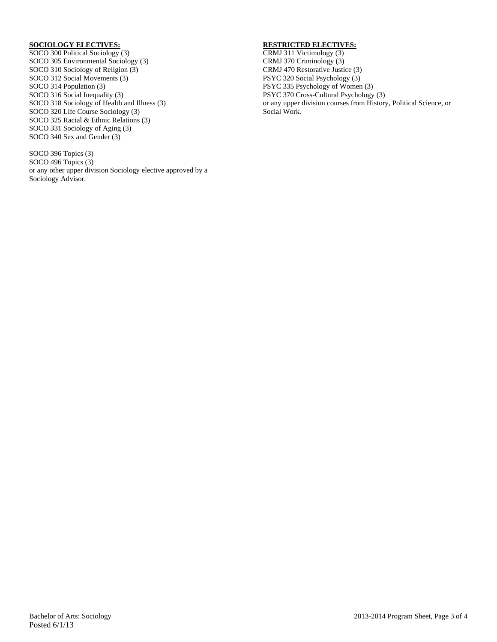### **SOCIOLOGY ELECTIVES:**

SOCO 300 Political Sociology (3) SOCO 305 Environmental Sociology (3) SOCO 310 Sociology of Religion (3) SOCO 312 Social Movements (3) SOCO 314 Population (3) SOCO 316 Social Inequality (3) SOCO 318 Sociology of Health and Illness (3) SOCO 320 Life Course Sociology (3) SOCO 325 Racial & Ethnic Relations (3) SOCO 331 Sociology of Aging (3) SOCO 340 Sex and Gender (3)

SOCO 396 Topics (3) SOCO 496 Topics (3) or any other upper division Sociology elective approved by a Sociology Advisor.

### **RESTRICTED ELECTIVES:**

CRMJ 311 Victimology (3) CRMJ 370 Criminology (3) CRMJ 470 Restorative Justice (3) PSYC 320 Social Psychology (3) PSYC 335 Psychology of Women (3) PSYC 370 Cross-Cultural Psychology (3) or any upper division courses from History, Political Science, or Social Work.